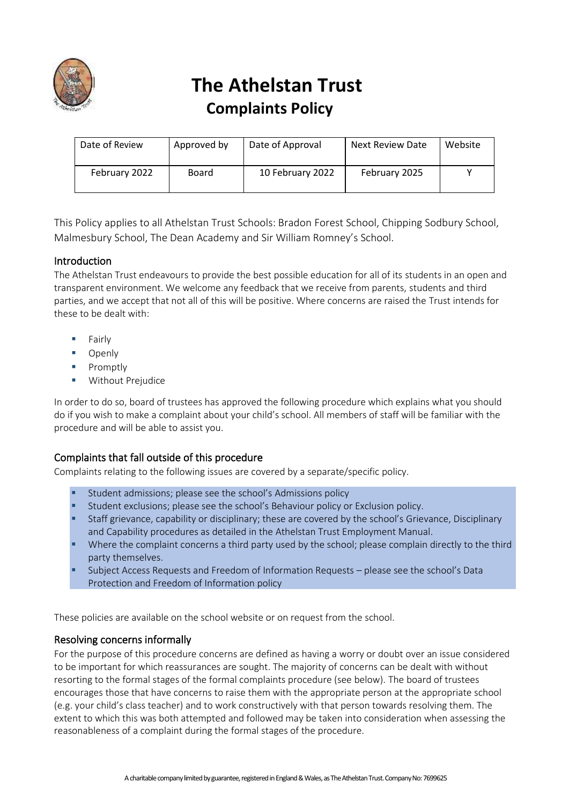

# **The Athelstan Trust Complaints Policy**

| Date of Review | Approved by | Date of Approval | <b>Next Review Date</b> | Website |
|----------------|-------------|------------------|-------------------------|---------|
| February 2022  | Board       | 10 February 2022 | February 2025           |         |

This Policy applies to all Athelstan Trust Schools: Bradon Forest School, Chipping Sodbury School, Malmesbury School, The Dean Academy and Sir William Romney's School.

# Introduction

The Athelstan Trust endeavours to provide the best possible education for all of its students in an open and transparent environment. We welcome any feedback that we receive from parents, students and third parties, and we accept that not all of this will be positive. Where concerns are raised the Trust intends for these to be dealt with:

- **Fairly**
- Openly
- Promptly
- **Without Prejudice**

In order to do so, board of trustees has approved the following procedure which explains what you should do if you wish to make a complaint about your child's school. All members of staff will be familiar with the procedure and will be able to assist you.

# Complaints that fall outside of this procedure

Complaints relating to the following issues are covered by a separate/specific policy.

- Student admissions; please see the school's Admissions policy
- Student exclusions; please see the school's Behaviour policy or Exclusion policy.
- **EXECT:** Staff grievance, capability or disciplinary; these are covered by the school's Grievance, Disciplinary and Capability procedures as detailed in the Athelstan Trust Employment Manual.
- Where the complaint concerns a third party used by the school; please complain directly to the third party themselves.
- Subject Access Requests and Freedom of Information Requests please see the school's Data Protection and Freedom of Information policy

These policies are available on the school website or on request from the school.

### Resolving concerns informally

For the purpose of this procedure concerns are defined as having a worry or doubt over an issue considered to be important for which reassurances are sought. The majority of concerns can be dealt with without resorting to the formal stages of the formal complaints procedure (see below). The board of trustees encourages those that have concerns to raise them with the appropriate person at the appropriate school (e.g. your child's class teacher) and to work constructively with that person towards resolving them. The extent to which this was both attempted and followed may be taken into consideration when assessing the reasonableness of a complaint during the formal stages of the procedure.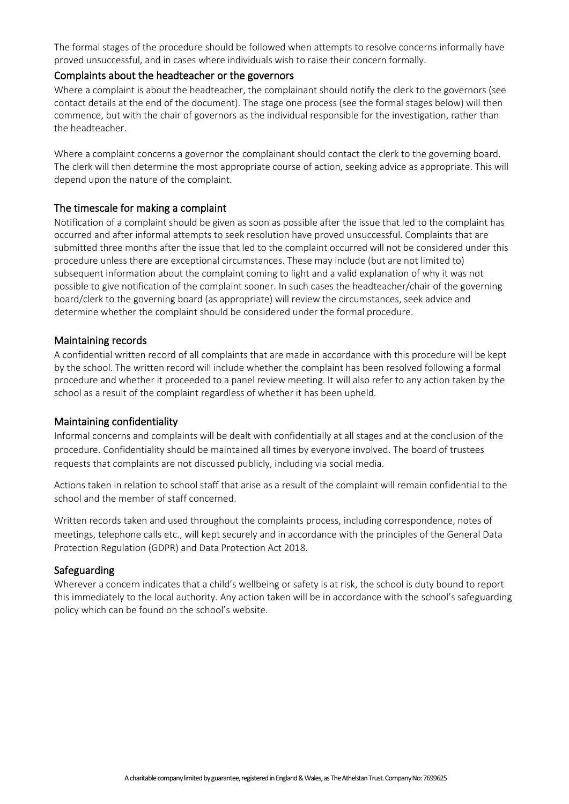The formal stages of the procedure should be followed when attempts to resolve concerns informally have proved unsuccessful, and in cases where individuals wish to raise their concern formally.

#### Complaints about the headteacher or the governors

Where a complaint is about the headteacher, the complainant should notify the clerk to the governors (see contact details at the end of the document). The stage one process (see the formal stages below) will then commence, but with the chair of governors as the individual responsible for the investigation, rather than the headteacher.

Where a complaint concerns a governor the complainant should contact the clerk to the governing board. The clerk will then determine the most appropriate course of action, seeking advice as appropriate. This will depend upon the nature of the complaint.

### The timescale for making a complaint

Notification of a complaint should be given as soon as possible after the issue that led to the complaint has occurred and after informal attempts to seek resolution have proved unsuccessful. Complaints that are submitted three months after the issue that led to the complaint occurred will not be considered under this procedure unless there are exceptional circumstances. These may include (but are not limited to) subsequent information about the complaint coming to light and a valid explanation of why it was not possible to give notification of the complaint sooner. In such cases the headteacher/chair of the governing board/clerk to the governing board (as appropriate) will review the circumstances, seek advice and determine whether the complaint should be considered under the formal procedure.

#### Maintaining records

A confidential written record of all complaints that are made in accordance with this procedure will be kept by the school. The written record will include whether the complaint has been resolved following a formal procedure and whether it proceeded to a panel review meeting. It will also refer to any action taken by the school as a result of the complaint regardless of whether it has been upheld.

#### Maintaining confidentiality

Informal concerns and complaints will be dealt with confidentially at all stages and at the conclusion of the procedure. Confidentiality should be maintained all times by everyone involved. The board of trustees requests that complaints are not discussed publicly, including via social media.

Actions taken in relation to school staff that arise as a result of the complaint will remain confidential to the school and the member of staff concerned.

Written records taken and used throughout the complaints process, including correspondence, notes of meetings, telephone calls etc., will kept securely and in accordance with the principles of the General Data Protection Regulation (GDPR) and Data Protection Act 2018.

#### Safeguarding

Wherever a concern indicates that a child's wellbeing or safety is at risk, the school is duty bound to report this immediately to the local authority. Any action taken will be in accordance with the school's safeguarding policy which can be found on the school's website.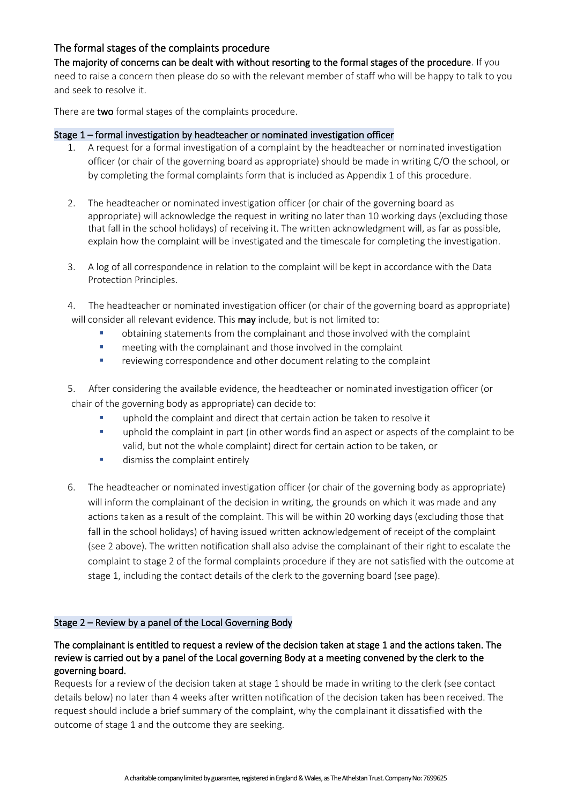# The formal stages of the complaints procedure

The majority of concerns can be dealt with without resorting to the formal stages of the procedure. If you need to raise a concern then please do so with the relevant member of staff who will be happy to talk to you and seek to resolve it.

There are two formal stages of the complaints procedure.

#### Stage 1 – formal investigation by headteacher or nominated investigation officer

- 1. A request for a formal investigation of a complaint by the headteacher or nominated investigation officer (or chair of the governing board as appropriate) should be made in writing C/O the school, or by completing the formal complaints form that is included as Appendix 1 of this procedure.
- 2. The headteacher or nominated investigation officer (or chair of the governing board as appropriate) will acknowledge the request in writing no later than 10 working days (excluding those that fall in the school holidays) of receiving it. The written acknowledgment will, as far as possible, explain how the complaint will be investigated and the timescale for completing the investigation.
- 3. A log of all correspondence in relation to the complaint will be kept in accordance with the Data Protection Principles.
- 4. The headteacher or nominated investigation officer (or chair of the governing board as appropriate) will consider all relevant evidence. This **may** include, but is not limited to:
	- obtaining statements from the complainant and those involved with the complaint
	- meeting with the complainant and those involved in the complaint
	- reviewing correspondence and other document relating to the complaint

5. After considering the available evidence, the headteacher or nominated investigation officer (or chair of the governing body as appropriate) can decide to:

- uphold the complaint and direct that certain action be taken to resolve it
- uphold the complaint in part (in other words find an aspect or aspects of the complaint to be valid, but not the whole complaint) direct for certain action to be taken, or
- **■** dismiss the complaint entirely
- 6. The headteacher or nominated investigation officer (or chair of the governing body as appropriate) will inform the complainant of the decision in writing, the grounds on which it was made and any actions taken as a result of the complaint. This will be within 20 working days (excluding those that fall in the school holidays) of having issued written acknowledgement of receipt of the complaint (see 2 above). The written notification shall also advise the complainant of their right to escalate the complaint to stage 2 of the formal complaints procedure if they are not satisfied with the outcome at stage 1, including the contact details of the clerk to the governing board (see page).

#### Stage 2 – Review by a panel of the Local Governing Body

## The complainant is entitled to request a review of the decision taken at stage 1 and the actions taken. The review is carried out by a panel of the Local governing Body at a meeting convened by the clerk to the governing board.

Requests for a review of the decision taken at stage 1 should be made in writing to the clerk (see contact details below) no later than 4 weeks after written notification of the decision taken has been received. The request should include a brief summary of the complaint, why the complainant it dissatisfied with the outcome of stage 1 and the outcome they are seeking.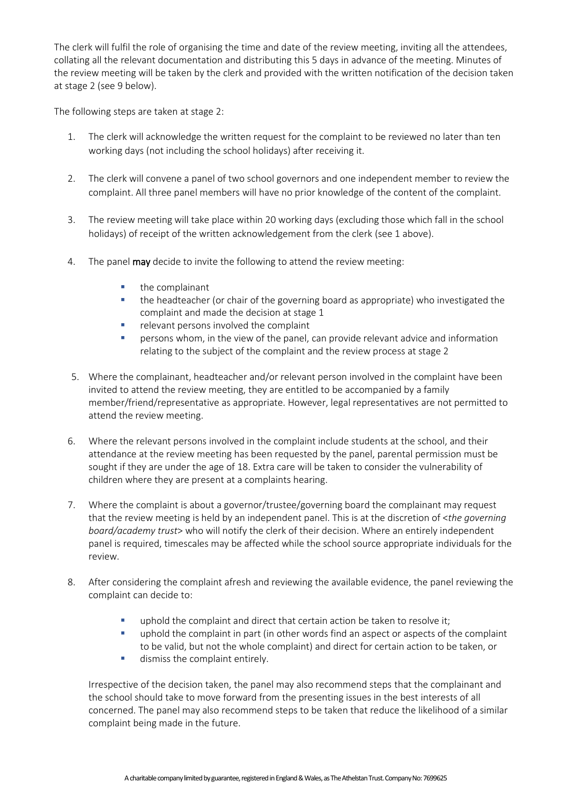The clerk will fulfil the role of organising the time and date of the review meeting, inviting all the attendees, collating all the relevant documentation and distributing this 5 days in advance of the meeting. Minutes of the review meeting will be taken by the clerk and provided with the written notification of the decision taken at stage 2 (see 9 below).

The following steps are taken at stage 2:

- 1. The clerk will acknowledge the written request for the complaint to be reviewed no later than ten working days (not including the school holidays) after receiving it.
- 2. The clerk will convene a panel of two school governors and one independent member to review the complaint. All three panel members will have no prior knowledge of the content of the complaint.
- 3. The review meeting will take place within 20 working days (excluding those which fall in the school holidays) of receipt of the written acknowledgement from the clerk (see 1 above).
- 4. The panel **may** decide to invite the following to attend the review meeting:
	- the complainant
	- the headteacher (or chair of the governing board as appropriate) who investigated the complaint and made the decision at stage 1
	- relevant persons involved the complaint
	- **E** persons whom, in the view of the panel, can provide relevant advice and information relating to the subject of the complaint and the review process at stage 2
- 5. Where the complainant, headteacher and/or relevant person involved in the complaint have been invited to attend the review meeting, they are entitled to be accompanied by a family member/friend/representative as appropriate. However, legal representatives are not permitted to attend the review meeting.
- 6. Where the relevant persons involved in the complaint include students at the school, and their attendance at the review meeting has been requested by the panel, parental permission must be sought if they are under the age of 18. Extra care will be taken to consider the vulnerability of children where they are present at a complaints hearing.
- 7. Where the complaint is about a governor/trustee/governing board the complainant may request that the review meeting is held by an independent panel. This is at the discretion of <*the governing board/academy trust*> who will notify the clerk of their decision. Where an entirely independent panel is required, timescales may be affected while the school source appropriate individuals for the review.
- 8. After considering the complaint afresh and reviewing the available evidence, the panel reviewing the complaint can decide to:
	- **■** uphold the complaint and direct that certain action be taken to resolve it;
	- **•** uphold the complaint in part (in other words find an aspect or aspects of the complaint to be valid, but not the whole complaint) and direct for certain action to be taken, or
	- **■** dismiss the complaint entirely.

Irrespective of the decision taken, the panel may also recommend steps that the complainant and the school should take to move forward from the presenting issues in the best interests of all concerned. The panel may also recommend steps to be taken that reduce the likelihood of a similar complaint being made in the future.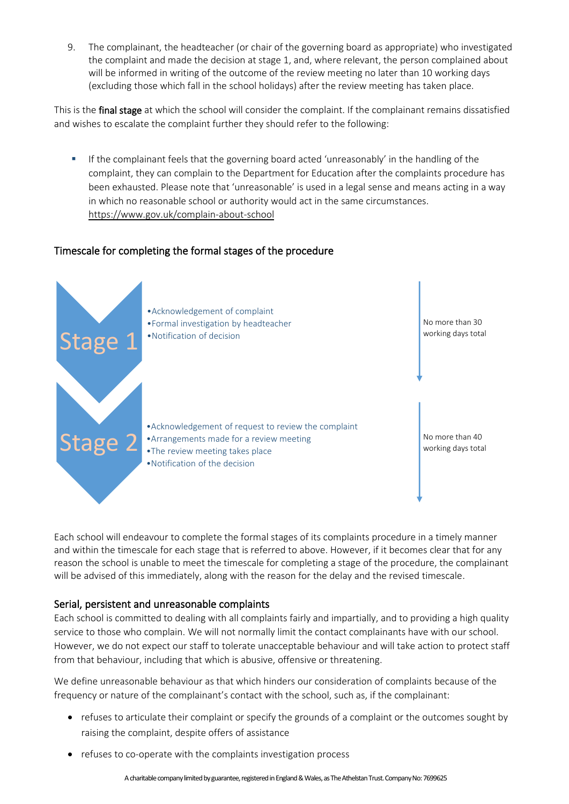9. The complainant, the headteacher (or chair of the governing board as appropriate) who investigated the complaint and made the decision at stage 1, and, where relevant, the person complained about will be informed in writing of the outcome of the review meeting no later than 10 working days (excluding those which fall in the school holidays) after the review meeting has taken place.

This is the final stage at which the school will consider the complaint. If the complainant remains dissatisfied and wishes to escalate the complaint further they should refer to the following:

**■** If the complainant feels that the governing board acted 'unreasonably' in the handling of the complaint, they can complain to the Department for Education after the complaints procedure has been exhausted. Please note that 'unreasonable' is used in a legal sense and means acting in a way in which no reasonable school or authority would act in the same circumstances. <https://www.gov.uk/complain-about-school>

# Timescale for completing the formal stages of the procedure



Each school will endeavour to complete the formal stages of its complaints procedure in a timely manner and within the timescale for each stage that is referred to above. However, if it becomes clear that for any reason the school is unable to meet the timescale for completing a stage of the procedure, the complainant will be advised of this immediately, along with the reason for the delay and the revised timescale.

### Serial, persistent and unreasonable complaints

Each school is committed to dealing with all complaints fairly and impartially, and to providing a high quality service to those who complain. We will not normally limit the contact complainants have with our school. However, we do not expect our staff to tolerate unacceptable behaviour and will take action to protect staff from that behaviour, including that which is abusive, offensive or threatening.

We define unreasonable behaviour as that which hinders our consideration of complaints because of the frequency or nature of the complainant's contact with the school, such as, if the complainant:

- refuses to articulate their complaint or specify the grounds of a complaint or the outcomes sought by raising the complaint, despite offers of assistance
- refuses to co-operate with the complaints investigation process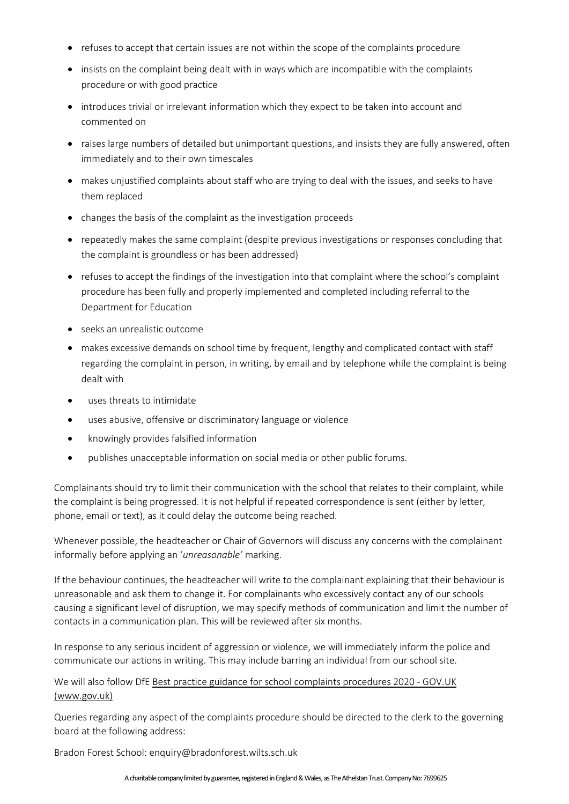- refuses to accept that certain issues are not within the scope of the complaints procedure
- insists on the complaint being dealt with in ways which are incompatible with the complaints procedure or with good practice
- introduces trivial or irrelevant information which they expect to be taken into account and commented on
- raises large numbers of detailed but unimportant questions, and insists they are fully answered, often immediately and to their own timescales
- makes unjustified complaints about staff who are trying to deal with the issues, and seeks to have them replaced
- changes the basis of the complaint as the investigation proceeds
- repeatedly makes the same complaint (despite previous investigations or responses concluding that the complaint is groundless or has been addressed)
- refuses to accept the findings of the investigation into that complaint where the school's complaint procedure has been fully and properly implemented and completed including referral to the Department for Education
- seeks an unrealistic outcome
- makes excessive demands on school time by frequent, lengthy and complicated contact with staff regarding the complaint in person, in writing, by email and by telephone while the complaint is being dealt with
- uses threats to intimidate
- uses abusive, offensive or discriminatory language or violence
- knowingly provides falsified information
- publishes unacceptable information on social media or other public forums.

Complainants should try to limit their communication with the school that relates to their complaint, while the complaint is being progressed. It is not helpful if repeated correspondence is sent (either by letter, phone, email or text), as it could delay the outcome being reached.

Whenever possible, the headteacher or Chair of Governors will discuss any concerns with the complainant informally before applying an '*unreasonable'* marking.

If the behaviour continues, the headteacher will write to the complainant explaining that their behaviour is unreasonable and ask them to change it. For complainants who excessively contact any of our schools causing a significant level of disruption, we may specify methods of communication and limit the number of contacts in a communication plan. This will be reviewed after six months.

In response to any serious incident of aggression or violence, we will immediately inform the police and communicate our actions in writing. This may include barring an individual from our school site.

We will also follow DfE Best practice guidance for [school complaints procedures 2020 -](https://www.gov.uk/government/publications/school-complaints-procedures/best-practice-advice-for-school-complaints-procedures-2019#managing-serial-and-persistent-complaints) GOV.UK [\(www.gov.uk\)](https://www.gov.uk/government/publications/school-complaints-procedures/best-practice-advice-for-school-complaints-procedures-2019#managing-serial-and-persistent-complaints)

Queries regarding any aspect of the complaints procedure should be directed to the clerk to the governing board at the following address:

Bradon Forest School: enquiry@bradonforest.wilts.sch.uk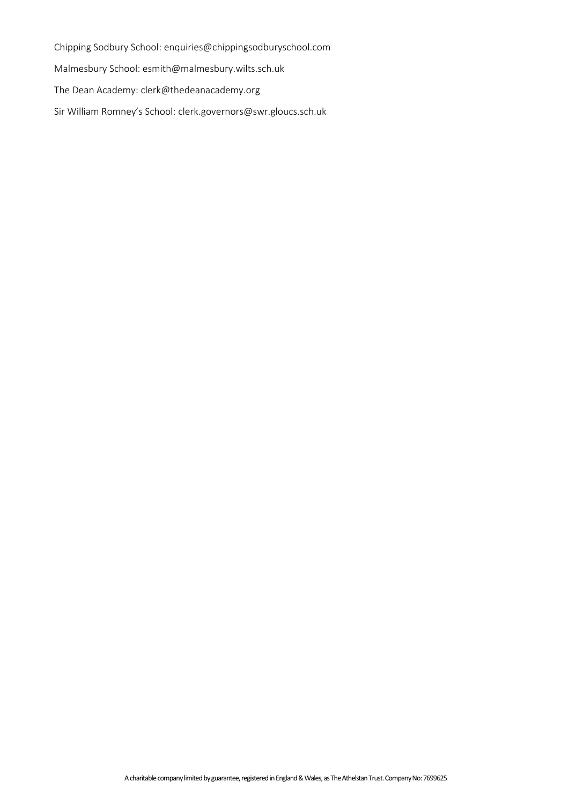Chipping Sodbury School: enquiries@chippingsodburyschool.com Malmesbury School: esmith@malmesbury.wilts.sch.uk The Dean Academy: clerk@thedeanacademy.org Sir William Romney's School: clerk.governors@swr.gloucs.sch.uk